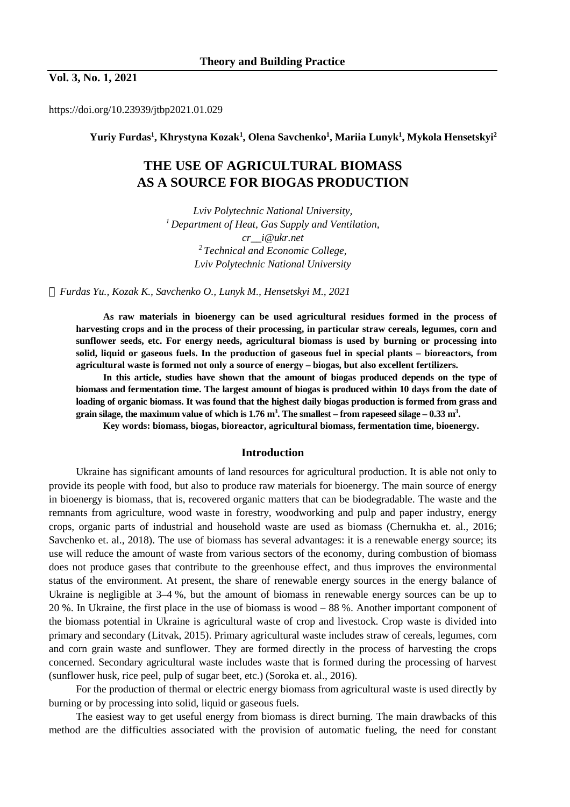**Vol. 3, No. 1, 2021**

https://doi.org/10.23939/jtbp2021.01.029

**Yuriy Furdas<sup>1</sup> , Khrystyna Kozak<sup>1</sup> , Olena Savchenko<sup>1</sup> , Mariia Lunyk<sup>1</sup> , Mykola Hensetskyi<sup>2</sup>**

# **THE USE OF AGRICULTURAL BIOMASS AS A SOURCE FOR BIOGAS PRODUCTION**

*Lviv Polytechnic National University, <sup>1</sup>Department of Heat, Gas Supply and Ventilation, cr\_\_i@ukr.net <sup>2</sup>Technical and Economic College, Lviv Polytechnic National University* 

*Furdas Yu., Kozak K., Savchenko O., Lunyk M., Hensetskyi M., 2021* 

**As raw materials in bioenergy can be used agricultural residues formed in the process of harvesting crops and in the process of their processing, in particular straw cereals, legumes, corn and sunflower seeds, etc. For energy needs, agricultural biomass is used by burning or processing into solid, liquid or gaseous fuels. In the production of gaseous fuel in special plants – bioreactors, from agricultural waste is formed not only a source of energy – biogas, but also excellent fertilizers.** 

**In this article, studies have shown that the amount of biogas produced depends on the type of**  biomass and fermentation time. The largest amount of biogas is produced within 10 days from the date of loading of organic biomass. It was found that the highest daily biogas production is formed from grass and **grain silage, the maximum value of which is 1.76 m<sup>3</sup> . The smallest – from rapeseed silage – 0.33 m<sup>3</sup> .** 

**Key words: biomass, biogas, bioreactor, agricultural biomass, fermentation time, bioenergy.** 

#### **Introduction**

Ukraine has significant amounts of land resources for agricultural production. It is able not only to provide its people with food, but also to produce raw materials for bioenergy. The main source of energy in bioenergy is biomass, that is, recovered organic matters that can be biodegradable. The waste and the remnants from agriculture, wood waste in forestry, woodworking and pulp and paper industry, energy crops, organic parts of industrial and household waste are used as biomass (Chernukha et. al., 2016; Savchenko et. al., 2018). The use of biomass has several advantages: it is a renewable energy source; its use will reduce the amount of waste from various sectors of the economy, during combustion of biomass does not produce gases that contribute to the greenhouse effect, and thus improves the environmental status of the environment. At present, the share of renewable energy sources in the energy balance of Ukraine is negligible at 3–4 %, but the amount of biomass in renewable energy sources can be up to 20 %. In Ukraine, the first place in the use of biomass is wood – 88 %. Another important component of the biomass potential in Ukraine is agricultural waste of crop and livestock. Crop waste is divided into primary and secondary (Litvak, 2015). Primary agricultural waste includes straw of cereals, legumes, corn and corn grain waste and sunflower. They are formed directly in the process of harvesting the crops concerned. Secondary agricultural waste includes waste that is formed during the processing of harvest (sunflower husk, rice peel, pulp of sugar beet, etc.) (Soroka et. al., 2016).

For the production of thermal or electric energy biomass from agricultural waste is used directly by burning or by processing into solid, liquid or gaseous fuels.

The easiest way to get useful energy from biomass is direct burning. The main drawbacks of this method are the difficulties associated with the provision of automatic fueling, the need for constant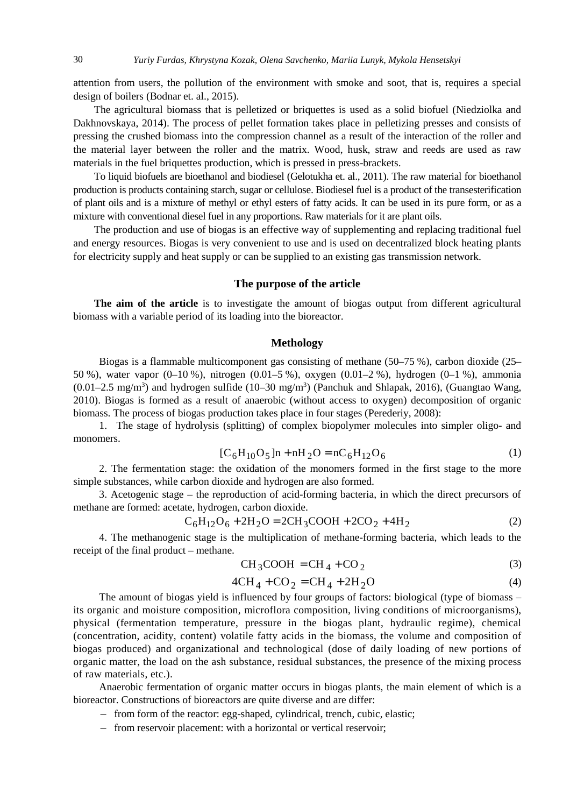attention from users, the pollution of the environment with smoke and soot, that is, requires a special design of boilers (Bodnar et. al., 2015).

The agricultural biomass that is pelletized or briquettes is used as a solid biofuel (Niedziolka and Dakhnovskaya, 2014). The process of pellet formation takes place in pelletizing presses and consists of pressing the crushed biomass into the compression channel as a result of the interaction of the roller and the material layer between the roller and the matrix. Wood, husk, straw and reeds are used as raw materials in the fuel briquettes production, which is pressed in press-brackets.

To liquid biofuels are bioethanol and biodiesel (Gelotukha et. al., 2011). The raw material for bioethanol production is products containing starch, sugar or cellulose. Biodiesel fuel is a product of the transesterification of plant oils and is a mixture of methyl or ethyl esters of fatty acids. It can be used in its pure form, or as a mixture with conventional diesel fuel in any proportions. Raw materials for it are plant oils.

The production and use of biogas is an effective way of supplementing and replacing traditional fuel and energy resources. Biogas is very convenient to use and is used on decentralized block heating plants for electricity supply and heat supply or can be supplied to an existing gas transmission network.

#### **The purpose of the article**

**The aim of the article** is to investigate the amount of biogas output from different agricultural biomass with a variable period of its loading into the bioreactor.

#### **Methology**

Biogas is a flammable multicomponent gas consisting of methane (50–75 %), carbon dioxide (25– 50 %), water vapor (0–10 %), nitrogen (0.01–5 %), oxygen (0.01–2 %), hydrogen (0–1 %), ammonia  $(0.01-2.5 \text{ mg/m}^3)$  and hydrogen sulfide  $(10-30 \text{ mg/m}^3)$  (Panchuk and Shlapak, 2016), (Guangtao Wang, 2010). Biogas is formed as a result of anaerobic (without access to oxygen) decomposition of organic biomass. The process of biogas production takes place in four stages (Perederiy, 2008):

1. The stage of hydrolysis (splitting) of complex biopolymer molecules into simpler oligo- and monomers.

$$
[C_6H_{10}O_5]n + nH_2O = nC_6H_{12}O_6
$$
 (1)

2. The fermentation stage: the oxidation of the monomers formed in the first stage to the more simple substances, while carbon dioxide and hydrogen are also formed.

3. Acetogenic stage – the reproduction of acid-forming bacteria, in which the direct precursors of methane are formed: acetate, hydrogen, carbon dioxide.

$$
C_6H_{12}O_6 + 2H_2O = 2CH_3COOH + 2CO_2 + 4H_2
$$
 (2)

4. The methanogenic stage is the multiplication of methane-forming bacteria, which leads to the receipt of the final product – methane.

$$
CH3COOH = CH4 + CO2
$$
 (3)

$$
4CH_4 + CO_2 = CH_4 + 2H_2O
$$
 (4)

The amount of biogas yield is influenced by four groups of factors: biological (type of biomass – its organic and moisture composition, microflora composition, living conditions of microorganisms), physical (fermentation temperature, pressure in the biogas plant, hydraulic regime), chemical (concentration, acidity, content) volatile fatty acids in the biomass, the volume and composition of biogas produced) and organizational and technological (dose of daily loading of new portions of organic matter, the load on the ash substance, residual substances, the presence of the mixing process of raw materials, etc.).

Anaerobic fermentation of organic matter occurs in biogas plants, the main element of which is a bioreactor. Constructions of bioreactors are quite diverse and are differ:

- from form of the reactor: egg-shaped, cylindrical, trench, cubic, elastic;
- from reservoir placement: with a horizontal or vertical reservoir;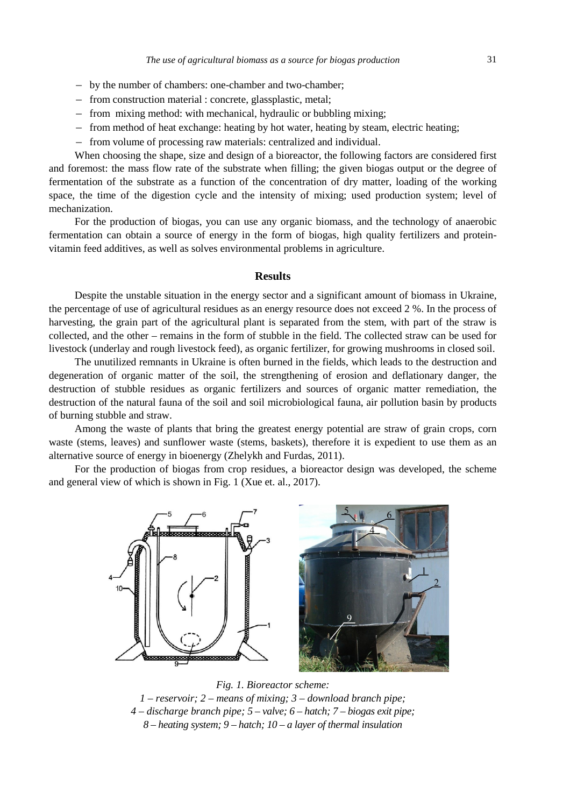- by the number of chambers: one-chamber and two-chamber;
- from construction material : concrete, glassplastic, metal;
- from mixing method: with mechanical, hydraulic or bubbling mixing;
- from method of heat exchange: heating by hot water, heating by steam, electric heating;
- from volume of processing raw materials: centralized and individual.

When choosing the shape, size and design of a bioreactor, the following factors are considered first and foremost: the mass flow rate of the substrate when filling; the given biogas output or the degree of fermentation of the substrate as a function of the concentration of dry matter, loading of the working space, the time of the digestion cycle and the intensity of mixing; used production system; level of mechanization.

For the production of biogas, you can use any organic biomass, and the technology of anaerobic fermentation can obtain a source of energy in the form of biogas, high quality fertilizers and proteinvitamin feed additives, as well as solves environmental problems in agriculture.

#### **Results**

Despite the unstable situation in the energy sector and a significant amount of biomass in Ukraine, the percentage of use of agricultural residues as an energy resource does not exceed 2 %. In the process of harvesting, the grain part of the agricultural plant is separated from the stem, with part of the straw is collected, and the other – remains in the form of stubble in the field. The collected straw can be used for livestock (underlay and rough livestock feed), as organic fertilizer, for growing mushrooms in closed soil.

The unutilized remnants in Ukraine is often burned in the fields, which leads to the destruction and degeneration of organic matter of the soil, the strengthening of erosion and deflationary danger, the destruction of stubble residues as organic fertilizers and sources of organic matter remediation, the destruction of the natural fauna of the soil and soil microbiological fauna, air pollution basin by products of burning stubble and straw.

Among the waste of plants that bring the greatest energy potential are straw of grain crops, corn waste (stems, leaves) and sunflower waste (stems, baskets), therefore it is expedient to use them as an alternative source of energy in bioenergy (Zhelykh and Furdas, 2011).

For the production of biogas from crop residues, a bioreactor design was developed, the scheme and general view of which is shown in Fig. 1 (Xue et. al., 2017).



*Fig. 1. Bioreactor scheme: 1 – reservoir; 2 – means of mixing; 3 – download branch pipe; 4 – discharge branch pipe; 5 – valve; 6 – hatch; 7 – biogas exit pipe; 8 – heating system; 9 – hatch; 10 – a layer of thermal insulation*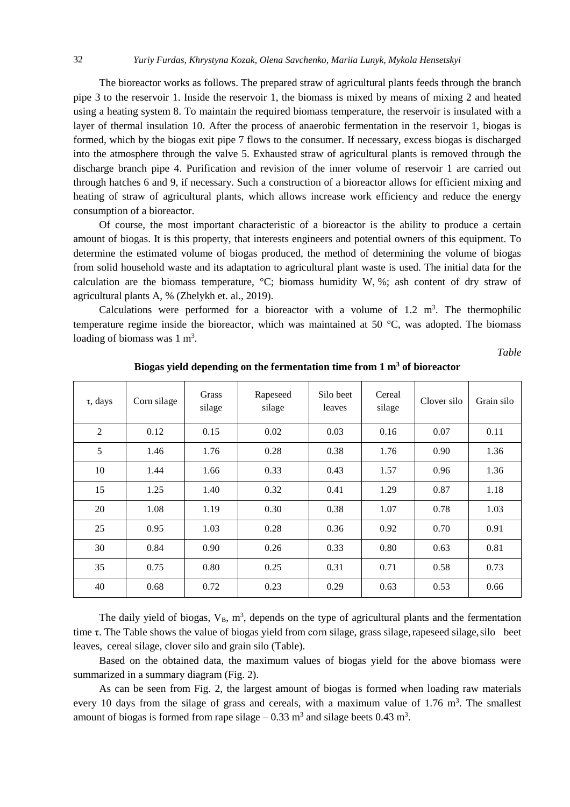The bioreactor works as follows. The prepared straw of agricultural plants feeds through the branch pipe 3 to the reservoir 1. Inside the reservoir 1, the biomass is mixed by means of mixing 2 and heated using a heating system 8. To maintain the required biomass temperature, the reservoir is insulated with a layer of thermal insulation 10. After the process of anaerobic fermentation in the reservoir 1, biogas is formed, which by the biogas exit pipe 7 flows to the consumer. If necessary, excess biogas is discharged into the atmosphere through the valve 5. Exhausted straw of agricultural plants is removed through the discharge branch pipe 4. Purification and revision of the inner volume of reservoir 1 are carried out through hatches 6 and 9, if necessary. Such a construction of a bioreactor allows for efficient mixing and heating of straw of agricultural plants, which allows increase work efficiency and reduce the energy consumption of a bioreactor.

Of course, the most important characteristic of a bioreactor is the ability to produce a certain amount of biogas. It is this property, that interests engineers and potential owners of this equipment. To determine the estimated volume of biogas produced, the method of determining the volume of biogas from solid household waste and its adaptation to agricultural plant waste is used. The initial data for the calculation are the biomass temperature,  ${}^{\circ}C$ ; biomass humidity W, %; ash content of dry straw of agricultural plants A, % (Zhelykh et. al., 2019).

Calculations were performed for a bioreactor with a volume of  $1.2 \text{ m}^3$ . The thermophilic temperature regime inside the bioreactor, which was maintained at 50 °C, was adopted. The biomass loading of biomass was  $1 \text{ m}^3$ .

*Table* 

| $\tau$ , days  | Corn silage | Grass<br>silage | Rapeseed<br>silage | Silo beet<br>leaves | Cereal<br>silage | Clover silo | Grain silo |
|----------------|-------------|-----------------|--------------------|---------------------|------------------|-------------|------------|
| $\overline{2}$ | 0.12        | 0.15            | 0.02               | 0.03                | 0.16             | 0.07        | 0.11       |
| 5              | 1.46        | 1.76            | 0.28               | 0.38                | 1.76             | 0.90        | 1.36       |
| 10             | 1.44        | 1.66            | 0.33               | 0.43                | 1.57             | 0.96        | 1.36       |
| 15             | 1.25        | 1.40            | 0.32               | 0.41                | 1.29             | 0.87        | 1.18       |
| 20             | 1.08        | 1.19            | 0.30               | 0.38                | 1.07             | 0.78        | 1.03       |
| 25             | 0.95        | 1.03            | 0.28               | 0.36                | 0.92             | 0.70        | 0.91       |
| 30             | 0.84        | 0.90            | 0.26               | 0.33                | 0.80             | 0.63        | 0.81       |
| 35             | 0.75        | 0.80            | 0.25               | 0.31                | 0.71             | 0.58        | 0.73       |
| 40             | 0.68        | 0.72            | 0.23               | 0.29                | 0.63             | 0.53        | 0.66       |

**Biogas yield depending on the fermentation time from 1 m<sup>3</sup> of bioreactor** 

The daily yield of biogas,  $V_B$ ,  $m^3$ , depends on the type of agricultural plants and the fermentation time τ. The Table shows the value of biogas yield from сorn silage, grass silage,rapeseed silage,silo beet leaves, cereal silage, clover silo and grain silo (Table).

Based on the obtained data, the maximum values of biogas yield for the above biomass were summarized in a summary diagram (Fig. 2).

As can be seen from Fig. 2, the largest amount of biogas is formed when loading raw materials every 10 days from the silage of grass and cereals, with a maximum value of  $1.76 \text{ m}^3$ . The smallest amount of biogas is formed from rape silage  $-0.33$  m<sup>3</sup> and silage beets 0.43 m<sup>3</sup>.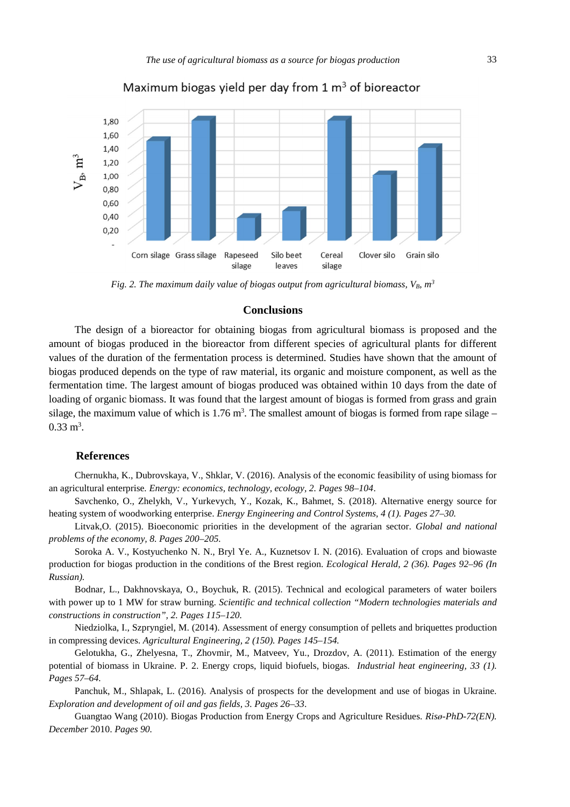

# Maximum biogas yield per day from  $1 \text{ m}^3$  of bioreactor

*Fig. 2. The maximum daily value of biogas output from agricultural biomass, VB, m<sup>3</sup>*

### **Conclusions**

The design of a bioreactor for obtaining biogas from agricultural biomass is proposed and the amount of biogas produced in the bioreactor from different species of agricultural plants for different values of the duration of the fermentation process is determined. Studies have shown that the amount of biogas produced depends on the type of raw material, its organic and moisture component, as well as the fermentation time. The largest amount of biogas produced was obtained within 10 days from the date of loading of organic biomass. It was found that the largest amount of biogas is formed from grass and grain silage, the maximum value of which is  $1.76 \text{ m}^3$ . The smallest amount of biogas is formed from rape silage –  $0.33 \text{ m}^3$ .

#### **References**

Chernukha, K., Dubrovskaya, V., Shklar, V. (2016). Analysis of the economic feasibility of using biomass for an agricultural enterprise*. Energy: economics, technology, ecology, 2. Pages 98–104*.

Savchenko, O., Zhelykh, V., Yurkevych, Y., Kozak, K., Bahmet, S. (2018). Alternative energy source for heating system of woodworking enterprise. *Energy Engineering and Control Systems, 4 (1). Pages 27*–*30.* 

Litvak,O. (2015). Bioeconomic priorities in the development of the agrarian sector. *Global and national problems of the economy, 8. Pages 200*–*205.* 

Soroka A. V., Kostyuchenko N. N., Bryl Ye. A., Kuznetsov I. N. (2016). Evaluation of crops and biowaste production for biogas production in the conditions of the Brest region. *Ecological Herald, 2 (36). Pages 92–96 (In Russian).* 

Bodnar, L., Dakhnovskaya, O., Boychuk, R. (2015). Technical and ecological parameters of water boilers with power up to 1 MW for straw burning. *Scientific and technical collection "Modern technologies materials and constructions in construction", 2. Pages 115*–*120.*

Niedziolka, I., Szpryngiel, M. (2014). Assessment of energy consumption of pellets and briquettes production in compressing devices. *Agricultural Engineering, 2 (150). Pages 145–154.*

Gelotukha, G., Zhelyesna, T., Zhovmir, M., Matveev, Yu., Drozdov, A. (2011). Estimation of the energy potential of biomass in Ukraine. P. 2. Energy crops, liquid biofuels, biogas. *Industrial heat engineering, 33 (1). Pages 57*–*64.*

Panchuk, M., Shlapak, L. (2016). Analysis of prospects for the development and use of biogas in Ukraine. *Exploration and development of oil and gas fields, 3. Pages 26*–*33*.

Guangtao Wang (2010). Biogas Production from Energy Crops and Agriculture Residues. *Risø-PhD-72(EN). December* 2010. *Pages 90.*